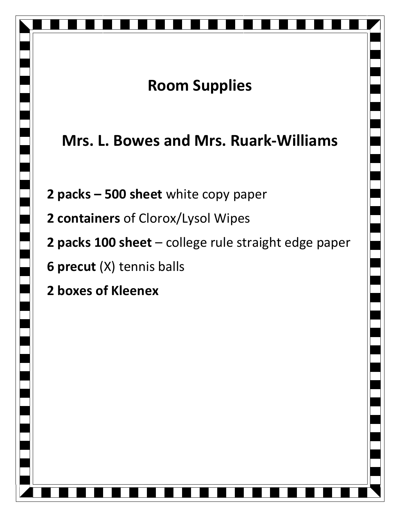## **Room Supplies**

## **Mrs. L. Bowes and Mrs. Ruark-Williams**

- **2 packs – 500 sheet** white copy paper
- **2 containers** of Clorox/Lysol Wipes
- **2 packs 100 sheet** college rule straight edge paper
- **6 precut** (X) tennis balls
- **2 boxes of Kleenex**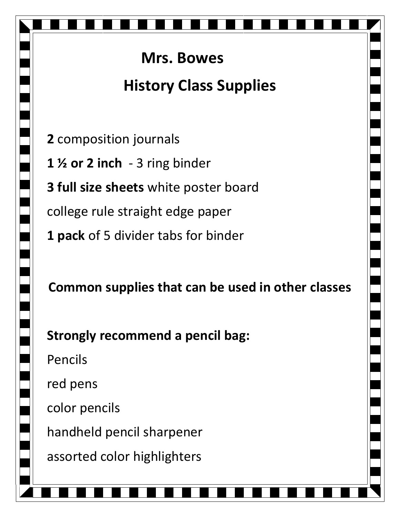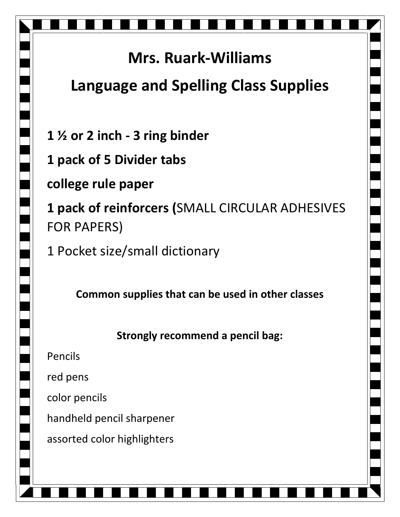